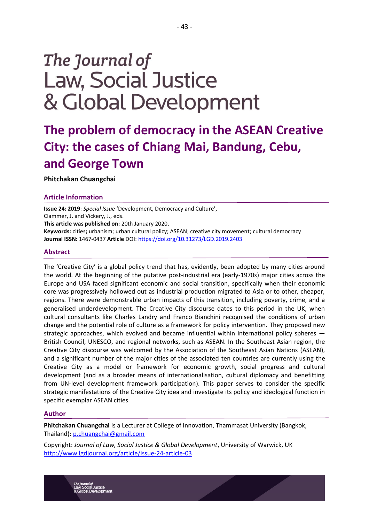# The Journal of **Law, Social Justice** & Global Development

# **The problem of democracy in the ASEAN Creative City: the cases of Chiang Mai, Bandung, Cebu, and George Town**

**Phitchakan Chuangchai**

# **Article Information**

**Issue 24: 2019**: *Special Issue* 'Development, Democracy and Culture', Clammer, J. and Vickery, J., eds. **This article was published on:** 20th January 2020. **Keywords:** cities**;** urbanism; urban cultural policy; ASEAN; creative city movement; cultural democracy **Journal ISSN:** 1467-0437 **Article** DOI:<https://doi.org/10.31273/LGD.2019.2403>

# **Abstract**

The 'Creative City' is a global policy trend that has, evidently, been adopted by many cities around the world. At the beginning of the putative post-industrial era (early-1970s) major cities across the Europe and USA faced significant economic and social transition, specifically when their economic core was progressively hollowed out as industrial production migrated to Asia or to other, cheaper, regions. There were demonstrable urban impacts of this transition, including poverty, crime, and a generalised underdevelopment. The Creative City discourse dates to this period in the UK, when cultural consultants like Charles Landry and Franco Bianchini recognised the conditions of urban change and the potential role of culture as a framework for policy intervention. They proposed new strategic approaches, which evolved and became influential within international policy spheres — British Council, UNESCO, and regional networks, such as ASEAN. In the Southeast Asian region, the Creative City discourse was welcomed by the Association of the Southeast Asian Nations (ASEAN), and a significant number of the major cities of the associated ten countries are currently using the Creative City as a model or framework for economic growth, social progress and cultural development (and as a broader means of internationalisation, cultural diplomacy and benefitting from UN-level development framework participation). This paper serves to consider the specific strategic manifestations of the Creative City idea and investigate its policy and ideological function in specific exemplar ASEAN cities.

# **Author**

**Phitchakan Chuangchai** is a Lecturer at College of Innovation, Thammasat University (Bangkok, Thailand)**:** [p.chuangchai@gmail.com](mailto:p.chuangchai@gmail.com)

Copyright: *Journal of Law, Social Justice & Global Development*, University of Warwick, UK <http://www.lgdjournal.org/article/issue-24-article-03>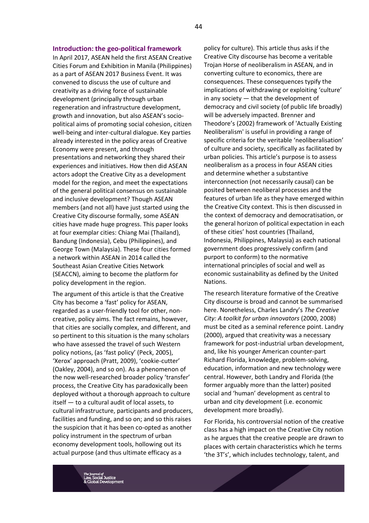#### **Introduction: the geo-political framework**

In April 2017, ASEAN held the first ASEAN Creative Cities Forum and Exhibition in Manila (Philippines) as a part of ASEAN 2017 Business Event. It was convened to discuss the use of culture and creativity as a driving force of sustainable development (principally through urban regeneration and infrastructure development, growth and innovation, but also ASEAN's sociopolitical aims of promoting social cohesion, citizen well-being and inter-cultural dialogue. Key parties already interested in the policy areas of Creative Economy were present, and through presentations and networking they shared their experiences and initiatives. How then did ASEAN actors adopt the Creative City as a development model for the region, and meet the expectations of the general political consensus on sustainable and inclusive development? Though ASEAN members (and not all) have just started using the Creative City discourse formally, some ASEAN cities have made huge progress. This paper looks at four exemplar cities: Chiang Mai (Thailand), Bandung (Indonesia), Cebu (Philippines), and George Town (Malaysia). These four cities formed a network within ASEAN in 2014 called the Southeast Asian Creative Cities Network (SEACCN), aiming to become the platform for policy development in the region.

The argument of this article is that the Creative City has become a 'fast' policy for ASEAN, regarded as a user-friendly tool for other, noncreative, policy aims. The fact remains, however, that cities are socially complex, and different, and so pertinent to this situation is the many scholars who have assessed the travel of such Western policy notions, (as 'fast policy' (Peck, 2005), 'Xerox' approach (Pratt, 2009), 'cookie-cutter' (Oakley, 2004), and so on). As a phenomenon of the now well-researched broader policy 'transfer' process, the Creative City has paradoxically been deployed without a thorough approach to culture itself — to a cultural audit of local assets, to cultural infrastructure, participants and producers, facilities and funding, and so on; and so this raises the suspicion that it has been co-opted as another policy instrument in the spectrum of urban economy development tools, hollowing out its actual purpose (and thus ultimate efficacy as a

policy for culture). This article thus asks if the Creative City discourse has become a veritable Trojan Horse of neoliberalism in ASEAN, and in converting culture to economics, there are consequences. These consequences typify the implications of withdrawing or exploiting 'culture' in any society — that the development of democracy and civil society (of public life broadly) will be adversely impacted. Brenner and Theodore's (2002) framework of 'Actually Existing Neoliberalism' is useful in providing a range of specific criteria for the veritable 'neoliberalisation' of culture and society, specifically as facilitated by urban policies. This article's purpose is to assess neoliberalism as a process in four ASEAN cities and determine whether a substantive interconnection (not necessarily causal) can be posited between neoliberal processes and the features of urban life as they have emerged within the Creative City context. This is then discussed in the context of democracy and democratisation, or the general horizon of political expectation in each of these cities' host countries (Thailand, Indonesia, Philippines, Malaysia) as each national government does progressively confirm (and purport to conform) to the normative international principles of social and well as economic sustainability as defined by the United Nations.

The research literature formative of the Creative City discourse is broad and cannot be summarised here. Nonetheless, Charles Landry's *The Creative City: A toolkit for urban innovators* (2000, 2008) must be cited as a seminal reference point. Landry (2000), argued that creativity was a necessary framework for post-industrial urban development, and, like his younger American counter-part Richard Florida, knowledge, problem-solving, education, information and new technology were central. However, both Landry and Florida (the former arguably more than the latter) posited social and 'human' development as central to urban and city development (i.e. economic development more broadly).

For Florida, his controversial notion of the creative class has a high impact on the Creative City notion as he argues that the creative people are drawn to places with certain characteristics which he terms 'the 3T's', which includes technology, talent, and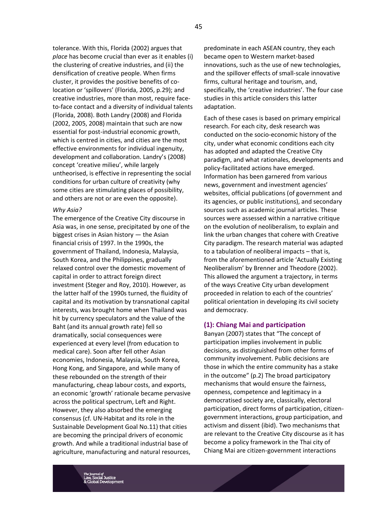tolerance. With this, Florida (2002) argues that *place* has become crucial than ever as it enables (i) the clustering of creative industries, and (ii) the densification of creative people. When firms cluster, it provides the positive benefits of colocation or 'spillovers' (Florida, 2005, p.29); and creative industries, more than most, require faceto-face contact and a diversity of individual talents (Florida, 2008). Both Landry (2008) and Florida (2002, 2005, 2008) maintain that such are now essential for post-industrial economic growth, which is centred in cities, and cities are the most effective environments for individual ingenuity, development and collaboration. Landry's (2008) concept 'creative milieu', while largely untheorised, is effective in representing the social conditions for urban culture of creativity (why some cities are stimulating places of possibility, and others are not or are even the opposite).

### *Why Asia?*

The emergence of the Creative City discourse in Asia was, in one sense, precipitated by one of the biggest crises in Asian history — the Asian financial crisis of 1997. In the 1990s, the government of Thailand, Indonesia, Malaysia, South Korea, and the Philippines, gradually relaxed control over the domestic movement of capital in order to attract foreign direct investment (Steger and Roy, 2010). However, as the latter half of the 1990s turned, the fluidity of capital and its motivation by transnational capital interests, was brought home when Thailand was hit by currency speculators and the value of the Baht (and its annual growth rate) fell so dramatically, social consequences were experienced at every level (from education to medical care). Soon after fell other Asian economies, Indonesia, Malaysia, South Korea, Hong Kong, and Singapore, and while many of these rebounded on the strength of their manufacturing, cheap labour costs, and exports, an economic 'growth' rationale became pervasive across the political spectrum, Left and Right. However, they also absorbed the emerging consensus (cf. UN-Habitat and its role in the Sustainable Development Goal No.11) that cities are becoming the principal drivers of economic growth. And while a traditional industrial base of agriculture, manufacturing and natural resources,

predominate in each ASEAN country, they each became open to Western market-based innovations, such as the use of new technologies, and the spillover effects of small-scale innovative firms, cultural heritage and tourism, and, specifically, the 'creative industries'. The four case studies in this article considers this latter adaptation.

Each of these cases is based on primary empirical research. For each city, desk research was conducted on the socio-economic history of the city, under what economic conditions each city has adopted and adapted the Creative City paradigm, and what rationales, developments and policy-facilitated actions have emerged. Information has been garnered from various news, government and investment agencies' websites, official publications (of government and its agencies, or public institutions), and secondary sources such as academic journal articles. These sources were assessed within a narrative critique on the evolution of neoliberalism, to explain and link the urban changes that cohere with Creative City paradigm. The research material was adapted to a tabulation of neoliberal impacts – that is, from the aforementioned article 'Actually Existing Neoliberalism' by Brenner and Theodore (2002). This allowed the argument a trajectory, in terms of the ways Creative City urban development proceeded in relation to each of the countries' political orientation in developing its civil society and democracy.

#### **(1): Chiang Mai and participation**

Banyan (2007) states that "The concept of participation implies involvement in public decisions, as distinguished from other forms of community involvement. Public decisions are those in which the entire community has a stake in the outcome" (p.2) The broad participatory mechanisms that would ensure the fairness, openness, competence and legitimacy in a democratised society are, classically, electoral participation, direct forms of participation, citizengovernment interactions, group participation, and activism and dissent (ibid). Two mechanisms that are relevant to the Creative City discourse as it has become a policy framework in the Thai city of Chiang Mai are citizen-government interactions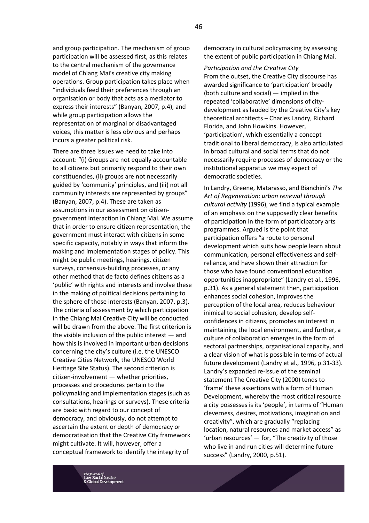and group participation. The mechanism of group participation will be assessed first, as this relates to the central mechanism of the governance model of Chiang Mai's creative city making operations. Group participation takes place when "individuals feed their preferences through an organisation or body that acts as a mediator to express their interests" (Banyan, 2007, p.4), and while group participation allows the representation of marginal or disadvantaged voices, this matter is less obvious and perhaps incurs a greater political risk.

There are three issues we need to take into account: "(i) Groups are not equally accountable to all citizens but primarily respond to their own constituencies, (ii) groups are not necessarily guided by 'community' principles, and (iii) not all community interests are represented by groups" (Banyan, 2007, p.4). These are taken as assumptions in our assessment on citizengovernment interaction in Chiang Mai. We assume that in order to ensure citizen representation, the government must interact with citizens in some specific capacity, notably in ways that inform the making and implementation stages of policy. This might be public meetings, hearings, citizen surveys, consensus-building processes, or any other method that de facto defines citizens as a 'public' with rights and interests and involve these in the making of political decisions pertaining to the sphere of those interests (Banyan, 2007, p.3). The criteria of assessment by which participation in the Chiang Mai Creative City will be conducted will be drawn from the above. The first criterion is the visible inclusion of the public interest — and how this is involved in important urban decisions concerning the city's culture (i.e. the UNESCO Creative Cities Network, the UNESCO World Heritage Site Status). The second criterion is citizen-involvement — whether priorities, processes and procedures pertain to the policymaking and implementation stages (such as consultations, hearings or surveys). These criteria are basic with regard to our concept of democracy, and obviously, do not attempt to ascertain the extent or depth of democracy or democratisation that the Creative City framework might cultivate. It will, however, offer a conceptual framework to identify the integrity of

democracy in cultural policymaking by assessing the extent of public participation in Chiang Mai.

*Participation and the Creative City* From the outset, the Creative City discourse has awarded significance to 'participation' broadly (both culture and social) — implied in the repeated 'collaborative' dimensions of citydevelopment as lauded by the Creative City's key theoretical architects – Charles Landry, Richard Florida, and John Howkins. However, 'participation', which essentially a concept traditional to liberal democracy, is also articulated in broad cultural and social terms that do not necessarily require processes of democracy or the institutional apparatus we may expect of democratic societies.

In Landry, Greene, Matarasso, and Bianchini's *The Art of Regeneration: urban renewal through cultural activity* (1996), we find a typical example of an emphasis on the supposedly clear benefits of participation in the form of participatory arts programmes. Argued is the point that participation offers "a route to personal development which suits how people learn about communication, personal effectiveness and selfreliance, and have shown their attraction for those who have found conventional education opportunities inappropriate" (Landry et al., 1996, p.31). As a general statement then, participation enhances social cohesion, improves the perception of the local area, reduces behaviour inimical to social cohesion, develop selfconfidences in citizens, promotes an interest in maintaining the local environment, and further, a culture of collaboration emerges in the form of sectoral partnerships, organisational capacity, and a clear vision of what is possible in terms of actual future development (Landry et al., 1996, p.31-33). Landry's expanded re-issue of the seminal statement The Creative City (2000) tends to 'frame' these assertions with a form of Human Development, whereby the most critical resource a city possesses is its 'people', in terms of "Human cleverness, desires, motivations, imagination and creativity", which are gradually "replacing location, natural resources and market access" as 'urban resources' — for, "The creativity of those who live in and run cities will determine future success" (Landry, 2000, p.51).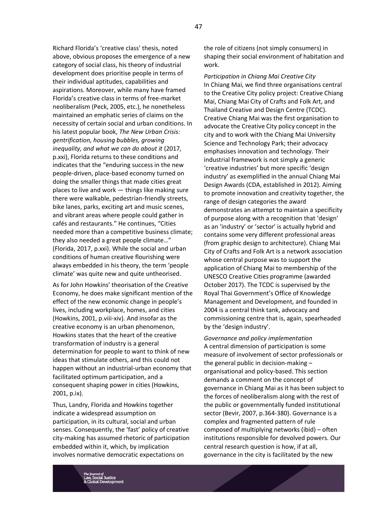Richard Florida's 'creative class' thesis, noted above, obvious proposes the emergence of a new category of social class, his theory of industrial development does prioritise people in terms of their individual aptitudes, capabilities and aspirations. Moreover, while many have framed Florida's creative class in terms of free-market neoliberalism (Peck, 2005, etc.), he nonetheless maintained an emphatic series of claims on the necessity of certain social and urban conditions. In his latest popular book, *The New Urban Crisis: gentrification, housing bubbles, growing inequality, and what we can do about it* (2017, p.xxi), Florida returns to these conditions and indicates that the "enduring success in the new people-driven, place-based economy turned on doing the smaller things that made cities great places to live and work — things like making sure there were walkable, pedestrian-friendly streets, bike lanes, parks, exciting art and music scenes, and vibrant areas where people could gather in cafés and restaurants." He continues, "Cities needed more than a competitive business climate; they also needed a great people climate…" (Florida, 2017, p.xxi). While the social and urban conditions of human creative flourishing were always embedded in his theory, the term 'people climate' was quite new and quite untheorised.

As for John Howkins' theorisation of the Creative Economy, he does make significant mention of the effect of the new economic change in people's lives, including workplace, homes, and cities (Howkins, 2001, p.viii-xiv). And insofar as the creative economy is an urban phenomenon, Howkins states that the heart of the creative transformation of industry is a general determination for people to want to think of new ideas that stimulate others, and this could not happen without an industrial-urban economy that facilitated optimum participation, and a consequent shaping power in cities (Howkins, 2001, p.ix).

Thus, Landry, Florida and Howkins together indicate a widespread assumption on participation, in its cultural, social and urban senses. Consequently, the 'fast' policy of creative city-making has assumed rhetoric of participation embedded within it, which, by implication involves normative democratic expectations on

the role of citizens (not simply consumers) in shaping their social environment of habitation and work.

*Participation in Chiang Mai Creative City* In Chiang Mai, we find three organisations central to the Creative City policy project: Creative Chiang Mai, Chiang Mai City of Crafts and Folk Art, and Thailand Creative and Design Centre (TCDC). Creative Chiang Mai was the first organisation to advocate the Creative City policy concept in the city and to work with the Chiang Mai University Science and Technology Park; their advocacy emphasises innovation and technology. Their industrial framework is not simply a generic 'creative industries' but more specific 'design industry' as exemplified in the annual Chiang Mai Design Awards (CDA, established in 2012). Aiming to promote innovation and creativity together, the range of design categories the award demonstrates an attempt to maintain a specificity of purpose along with a recognition that 'design' as an 'industry' or 'sector' is actually hybrid and contains some very different professional areas (from graphic design to architecture). Chiang Mai City of Crafts and Folk Art is a network association whose central purpose was to support the application of Chiang Mai to membership of the UNESCO Creative Cities programme (awarded October 2017). The TCDC is supervised by the Royal Thai Government's Office of Knowledge Management and Development, and founded in 2004 is a central think tank, advocacy and commissioning centre that is, again, spearheaded by the 'design industry'.

*Governance and policy implementation* A central dimension of participation is some measure of involvement of sector professionals or the general public in decision-making – organisational and policy-based. This section demands a comment on the concept of governance in Chiang Mai as it has been subject to the forces of neoliberalism along with the rest of the public or governmentally funded institutional sector (Bevir, 2007, p.364-380). Governance is a complex and fragmented pattern of rule composed of multiplying networks (ibid) – often institutions responsible for devolved powers. Our central research question is how, if at all, governance in the city is facilitated by the new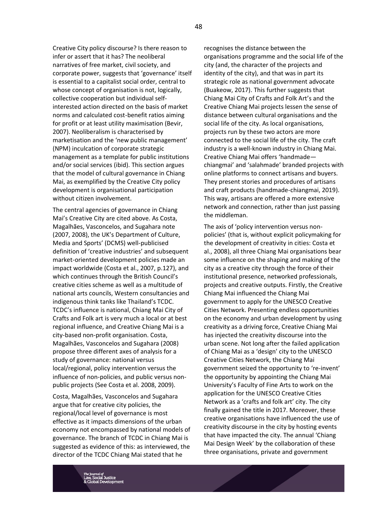Creative City policy discourse? Is there reason to infer or assert that it has? The neoliberal narratives of free market, civil society, and corporate power, suggests that 'governance' itself is essential to a capitalist social order, central to whose concept of organisation is not, logically, collective cooperation but individual selfinterested action directed on the basis of market norms and calculated cost-benefit ratios aiming for profit or at least utility maximisation (Bevir, 2007). Neoliberalism is characterised by marketisation and the 'new public management' (NPM) inculcation of corporate strategic management as a template for public institutions and/or social services (ibid). This section argues that the model of cultural governance in Chiang Mai, as exemplified by the Creative City policy development is organisational participation without citizen involvement.

The central agencies of governance in Chiang Mai's Creative City are cited above. As Costa, Magalhães, Vasconcelos, and Sugahara note (2007, 2008), the UK's Department of Culture, Media and Sports' (DCMS) well-publicised definition of 'creative industries' and subsequent market-oriented development policies made an impact worldwide (Costa et al., 2007, p.127), and which continues through the British Council's creative cities scheme as well as a multitude of national arts councils, Western consultancies and indigenous think tanks like Thailand's TCDC. TCDC's influence is national, Chiang Mai City of Crafts and Folk art is very much a local or at best regional influence, and Creative Chiang Mai is a city-based non-profit organisation. Costa, Magalhães, Vasconcelos and Sugahara (2008) propose three different axes of analysis for a study of governance: national versus local/regional, policy intervention versus the influence of non-policies, and public versus nonpublic projects (See Costa et al. 2008, 2009).

Costa, Magalhães, Vasconcelos and Sugahara argue that for creative city policies, the regional/local level of governance is most effective as it impacts dimensions of the urban economy not encompassed by national models of governance. The branch of TCDC in Chiang Mai is suggested as evidence of this: as interviewed, the director of the TCDC Chiang Mai stated that he

recognises the distance between the organisations programme and the social life of the city (and, the character of the projects and identity of the city), and that was in part its strategic role as national government advocate (Buakeow, 2017). This further suggests that Chiang Mai City of Crafts and Folk Art's and the Creative Chiang Mai projects lessen the sense of distance between cultural organisations and the social life of the city. As local organisations, projects run by these two actors are more connected to the social life of the city. The craft industry is a well-known industry in Chiang Mai. Creative Chiang Mai offers 'handmade chiangmai' and 'salahmade' branded projects with online platforms to connect artisans and buyers. They present stories and procedures of artisans and craft products (handmade-chiangmai, 2019). This way, artisans are offered a more extensive network and connection, rather than just passing the middleman.

The axis of 'policy intervention versus nonpolicies' (that is, without explicit policymaking for the development of creativity in cities: Costa et al., 2008), all three Chiang Mai organisations bear some influence on the shaping and making of the city as a creative city through the force of their institutional presence, networked professionals, projects and creative outputs. Firstly, the Creative Chiang Mai influenced the Chiang Mai government to apply for the UNESCO Creative Cities Network. Presenting endless opportunities on the economy and urban development by using creativity as a driving force, Creative Chiang Mai has injected the creativity discourse into the urban scene. Not long after the failed application of Chiang Mai as a 'design' city to the UNESCO Creative Cities Network, the Chiang Mai government seized the opportunity to 're-invent' the opportunity by appointing the Chiang Mai University's Faculty of Fine Arts to work on the application for the UNESCO Creative Cities Network as a 'crafts and folk art' city. The city finally gained the title in 2017. Moreover, these creative organisations have influenced the use of creativity discourse in the city by hosting events that have impacted the city. The annual 'Chiang Mai Design Week' by the collaboration of these three organisations, private and government

48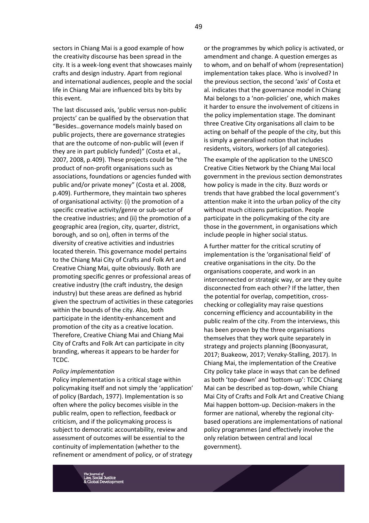sectors in Chiang Mai is a good example of how the creativity discourse has been spread in the city. It is a week-long event that showcases mainly crafts and design industry. Apart from regional and international audiences, people and the social life in Chiang Mai are influenced bits by bits by this event.

The last discussed axis, 'public versus non-public projects' can be qualified by the observation that "Besides…governance models mainly based on public projects, there are governance strategies that are the outcome of non-public will (even if they are in part publicly funded)" (Costa et al., 2007, 2008, p.409). These projects could be "the product of non-profit organisations such as associations, foundations or agencies funded with public and/or private money" (Costa et al. 2008, p.409). Furthermore, they maintain two spheres of organisational activity: (i) the promotion of a specific creative activity/genre or sub-sector of the creative industries; and (ii) the promotion of a geographic area (region, city, quarter, district, borough, and so on), often in terms of the diversity of creative activities and industries located therein. This governance model pertains to the Chiang Mai City of Crafts and Folk Art and Creative Chiang Mai, quite obviously. Both are promoting specific genres or professional areas of creative industry (the craft industry, the design industry) but these areas are defined as hybrid given the spectrum of activities in these categories within the bounds of the city. Also, both participate in the identity-enhancement and promotion of the city as a creative location. Therefore, Creative Chiang Mai and Chiang Mai City of Crafts and Folk Art can participate in city branding, whereas it appears to be harder for TCDC.

#### *Policy implementation*

Policy implementation is a critical stage within policymaking itself and not simply the 'application' of policy (Bardach, 1977). Implementation is so often where the policy becomes visible in the public realm, open to reflection, feedback or criticism, and if the policymaking process is subject to democratic accountability, review and assessment of outcomes will be essential to the continuity of implementation (whether to the refinement or amendment of policy, or of strategy

or the programmes by which policy is activated, or amendment and change. A question emerges as to whom, and on behalf of whom (representation) implementation takes place. Who is involved? In the previous section, the second 'axis' of Costa et al. indicates that the governance model in Chiang Mai belongs to a 'non-policies' one, which makes it harder to ensure the involvement of citizens in the policy implementation stage. The dominant three Creative City organisations all claim to be acting on behalf of the people of the city, but this is simply a generalised notion that includes residents, visitors, workers (of all categories).

The example of the application to the UNESCO Creative Cities Network by the Chiang Mai local government in the previous section demonstrates how policy is made in the city. Buzz words or trends that have grabbed the local government's attention make it into the urban policy of the city without much citizens participation. People participate in the policymaking of the city are those in the government, in organisations which include people in higher social status.

A further matter for the critical scrutiny of implementation is the 'organisational field' of creative organisations in the city. Do the organisations cooperate, and work in an interconnected or strategic way, or are they quite disconnected from each other? If the latter, then the potential for overlap, competition, crosschecking or collegiality may raise questions concerning efficiency and accountability in the public realm of the city. From the interviews, this has been proven by the three organisations themselves that they work quite separately in strategy and projects planning (Boonyasurat, 2017; Buakeow, 2017; Venzky-Stalling, 2017). In Chiang Mai, the implementation of the Creative City policy take place in ways that can be defined as both 'top-down' and 'bottom-up': TCDC Chiang Mai can be described as top-down, while Chiang Mai City of Crafts and Folk Art and Creative Chiang Mai happen bottom-up. Decision-makers in the former are national, whereby the regional citybased operations are implementations of national policy programmes (and effectively involve the only relation between central and local government).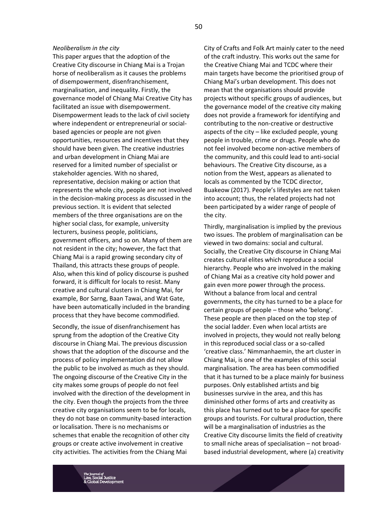#### *Neoliberalism in the city*

This paper argues that the adoption of the Creative City discourse in Chiang Mai is a Trojan horse of neoliberalism as it causes the problems of disempowerment, disenfranchisement, marginalisation, and inequality. Firstly, the governance model of Chiang Mai Creative City has facilitated an issue with disempowerment. Disempowerment leads to the lack of civil society where independent or entrepreneurial or socialbased agencies or people are not given opportunities, resources and incentives that they should have been given. The creative industries and urban development in Chiang Mai are reserved for a limited number of specialist or stakeholder agencies. With no shared, representative, decision making or action that represents the whole city, people are not involved in the decision-making process as discussed in the previous section. It is evident that selected members of the three organisations are on the higher social class, for example, university lecturers, business people, politicians, government officers, and so on. Many of them are not resident in the city; however, the fact that Chiang Mai is a rapid growing secondary city of Thailand, this attracts these groups of people. Also, when this kind of policy discourse is pushed forward, it is difficult for locals to resist. Many creative and cultural clusters in Chiang Mai, for example, Bor Sarng, Baan Tawai, and Wat Gate, have been automatically included in the branding process that they have become commodified.

Secondly, the issue of disenfranchisement has sprung from the adoption of the Creative City discourse in Chiang Mai. The previous discussion shows that the adoption of the discourse and the process of policy implementation did not allow the public to be involved as much as they should. The ongoing discourse of the Creative City in the city makes some groups of people do not feel involved with the direction of the development in the city. Even though the projects from the three creative city organisations seem to be for locals, they do not base on community-based interaction or localisation. There is no mechanisms or schemes that enable the recognition of other city groups or create active involvement in creative city activities. The activities from the Chiang Mai

City of Crafts and Folk Art mainly cater to the need of the craft industry. This works out the same for the Creative Chiang Mai and TCDC where their main targets have become the prioritised group of Chiang Mai's urban development. This does not mean that the organisations should provide projects without specific groups of audiences, but the governance model of the creative city making does not provide a framework for identifying and contributing to the non-creative or destructive aspects of the city – like excluded people, young people in trouble, crime or drugs. People who do not feel involved become non-active members of the community, and this could lead to anti-social behaviours. The Creative City discourse, as a notion from the West, appears as alienated to locals as commented by the TCDC director, Buakeow (2017). People's lifestyles are not taken into account; thus, the related projects had not been participated by a wider range of people of the city.

Thirdly, marginalisation is implied by the previous two issues. The problem of marginalisation can be viewed in two domains: social and cultural. Socially, the Creative City discourse in Chiang Mai creates cultural elites which reproduce a social hierarchy. People who are involved in the making of Chiang Mai as a creative city hold power and gain even more power through the process. Without a balance from local and central governments, the city has turned to be a place for certain groups of people – those who 'belong'. These people are then placed on the top step of the social ladder. Even when local artists are involved in projects, they would not really belong in this reproduced social class or a so-called 'creative class.' Nimmanhaemin, the art cluster in Chiang Mai, is one of the examples of this social marginalisation. The area has been commodified that it has turned to be a place mainly for business purposes. Only established artists and big businesses survive in the area, and this has diminished other forms of arts and creativity as this place has turned out to be a place for specific groups and tourists. For cultural production, there will be a marginalisation of industries as the Creative City discourse limits the field of creativity to small niche areas of specialisation – not broadbased industrial development, where (a) creativity

50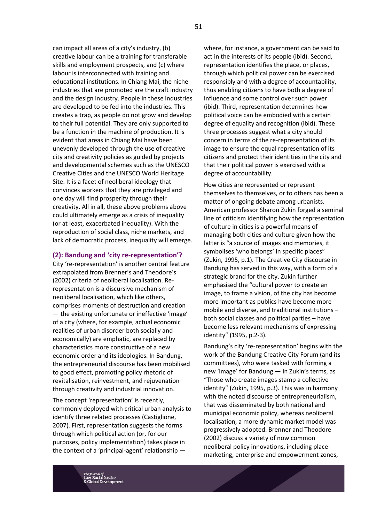can impact all areas of a city's industry, (b) creative labour can be a training for transferable skills and employment prospects, and (c) where labour is interconnected with training and educational institutions. In Chiang Mai, the niche industries that are promoted are the craft industry and the design industry. People in these industries are developed to be fed into the industries. This creates a trap, as people do not grow and develop to their full potential. They are only supported to be a function in the machine of production. It is evident that areas in Chiang Mai have been unevenly developed through the use of creative city and creativity policies as guided by projects and developmental schemes such as the UNESCO Creative Cities and the UNESCO World Heritage Site. It is a facet of neoliberal ideology that convinces workers that they are privileged and one day will find prosperity through their creativity. All in all, these above problems above could ultimately emerge as a crisis of inequality (or at least, exacerbated inequality). With the reproduction of social class, niche markets, and lack of democratic process, inequality will emerge.

# **(2): Bandung and 'city re-representation'?**

City 're-representation' is another central feature extrapolated from Brenner's and Theodore's (2002) criteria of neoliberal localisation. Rerepresentation is a discursive mechanism of neoliberal localisation, which like others, comprises moments of destruction and creation — the existing unfortunate or ineffective 'image' of a city (where, for example, actual economic realities of urban disorder both socially and economically) are emphatic, are replaced by characteristics more constructive of a new economic order and its ideologies. In Bandung, the entrepreneurial discourse has been mobilised to good effect, promoting policy rhetoric of revitalisation, reinvestment, and rejuvenation through creativity and industrial innovation.

The concept 'representation' is recently, commonly deployed with critical urban analysis to identify three related processes (Castiglione, 2007). First, representation suggests the forms through which political action (or, for our purposes, policy implementation) takes place in the context of a 'principal-agent' relationship —

where, for instance, a government can be said to act in the interests of its people (ibid). Second, representation identifies the place, or places, through which political power can be exercised responsibly and with a degree of accountability, thus enabling citizens to have both a degree of influence and some control over such power (ibid). Third, representation determines how political voice can be embodied with a certain degree of equality and recognition (ibid). These three processes suggest what a city should concern in terms of the re-representation of its image to ensure the equal representation of its citizens and protect their identities in the city and that their political power is exercised with a degree of accountability.

How cities are represented or represent themselves to themselves, or to others has been a matter of ongoing debate among urbanists. American professor Sharon Zukin forged a seminal line of criticism identifying how the representation of culture in cities is a powerful means of managing both cities and culture given how the latter is "a source of images and memories, it symbolises 'who belongs' in specific places" (Zukin, 1995, p.1). The Creative City discourse in Bandung has served in this way, with a form of a strategic brand for the city. Zukin further emphasised the "cultural power to create an image, to frame a vision, of the city has become more important as publics have become more mobile and diverse, and traditional institutions – both social classes and political parties – have become less relevant mechanisms of expressing identity" (1995, p.2-3).

Bandung's city 're-representation' begins with the work of the Bandung Creative City Forum (and its committees), who were tasked with forming a new 'image' for Bandung — in Zukin's terms, as "Those who create images stamp a collective identity" (Zukin, 1995, p.3). This was in harmony with the noted discourse of entrepreneurialism, that was disseminated by both national and municipal economic policy, whereas neoliberal localisation, a more dynamic market model was progressively adopted. Brenner and Theodore (2002) discuss a variety of now common neoliberal policy innovations, including placemarketing, enterprise and empowerment zones,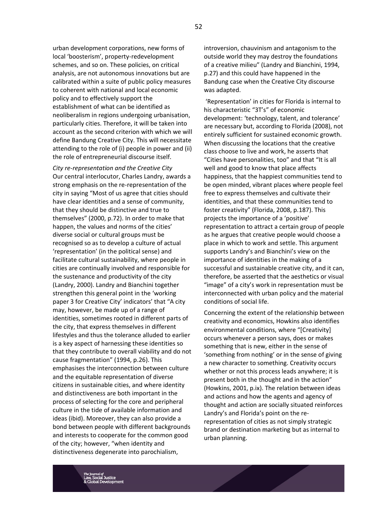urban development corporations, new forms of local 'boosterism', property-redevelopment schemes, and so on. These policies, on critical analysis, are not autonomous innovations but are calibrated within a suite of public policy measures to coherent with national and local economic policy and to effectively support the establishment of what can be identified as neoliberalism in regions undergoing urbanisation, particularly cities. Therefore, it will be taken into account as the second criterion with which we will define Bandung Creative City. This will necessitate attending to the role of (i) people in power and (ii) the role of entrepreneurial discourse itself.

*City re-representation and the Creative City* Our central interlocutor, Charles Landry, awards a strong emphasis on the re-representation of the city in saying "Most of us agree that cities should have clear identities and a sense of community, that they should be distinctive and true to themselves" (2000, p.72). In order to make that happen, the values and norms of the cities' diverse social or cultural groups must be recognised so as to develop a culture of actual 'representation' (in the political sense) and facilitate cultural sustainability, where people in cities are continually involved and responsible for the sustenance and productivity of the city (Landry, 2000). Landry and Bianchini together strengthen this general point in the 'working paper 3 for Creative City' indicators' that "A city may, however, be made up of a range of identities, sometimes rooted in different parts of the city, that express themselves in different lifestyles and thus the tolerance alluded to earlier is a key aspect of harnessing these identities so that they contribute to overall viability and do not cause fragmentation" (1994, p.26). This emphasises the interconnection between culture and the equitable representation of diverse citizens in sustainable cities, and where identity and distinctiveness are both important in the process of selecting for the core and peripheral culture in the tide of available information and ideas (ibid). Moreover, they can also provide a bond between people with different backgrounds and interests to cooperate for the common good of the city; however, "when identity and distinctiveness degenerate into parochialism,

introversion, chauvinism and antagonism to the outside world they may destroy the foundations of a creative milieu" (Landry and Bianchini, 1994, p.27) and this could have happened in the Bandung case when the Creative City discourse was adapted.

'Representation' in cities for Florida is internal to his characteristic "3T's" of economic development: 'technology, talent, and tolerance' are necessary but, according to Florida (2008), not entirely sufficient for sustained economic growth. When discussing the locations that the creative class choose to live and work, he asserts that "Cities have personalities, too" and that "It is all well and good to know that place affects happiness, that the happiest communities tend to be open minded, vibrant places where people feel free to express themselves and cultivate their identities, and that these communities tend to foster creativity" (Florida, 2008, p.187). This projects the importance of a 'positive' representation to attract a certain group of people as he argues that creative people would choose a place in which to work and settle. This argument supports Landry's and Bianchini's view on the importance of identities in the making of a successful and sustainable creative city, and it can, therefore, be asserted that the aesthetics or visual "image" of a city's work in representation must be interconnected with urban policy and the material conditions of social life.

Concerning the extent of the relationship between creativity and economics, Howkins also identifies environmental conditions, where "[Creativity] occurs whenever a person says, does or makes something that is new, either in the sense of 'something from nothing' or in the sense of giving a new character to something. Creativity occurs whether or not this process leads anywhere; it is present both in the thought and in the action" (Howkins, 2001, p.ix). The relation between ideas and actions and how the agents and agency of thought and action are socially situated reinforces Landry's and Florida's point on the rerepresentation of cities as not simply strategic brand or destination marketing but as internal to urban planning.

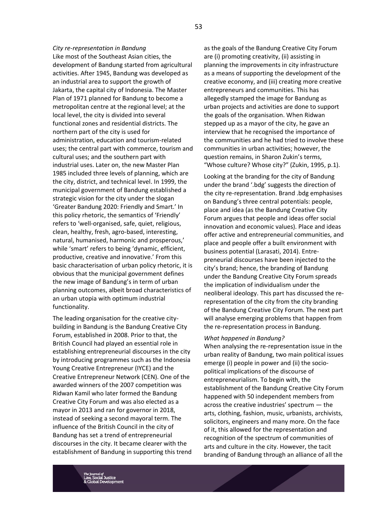#### *City re-representation in Bandung*

Like most of the Southeast Asian cities, the development of Bandung started from agricultural activities. After 1945, Bandung was developed as an industrial area to support the growth of Jakarta, the capital city of Indonesia. The Master Plan of 1971 planned for Bandung to become a metropolitan centre at the regional level; at the local level, the city is divided into several functional zones and residential districts. The northern part of the city is used for administration, education and tourism-related uses; the central part with commerce, tourism and cultural uses; and the southern part with industrial uses. Later on, the new Master Plan 1985 included three levels of planning, which are the city, district, and technical level. In 1999, the municipal government of Bandung established a strategic vision for the city under the slogan 'Greater Bandung 2020: Friendly and Smart.' In this policy rhetoric, the semantics of 'Friendly' refers to 'well-organised, safe, quiet, religious, clean, healthy, fresh, agro-based, interesting, natural, humanised, harmonic and prosperous,' while 'smart' refers to being 'dynamic, efficient, productive, creative and innovative.' From this basic characterisation of urban policy rhetoric, it is obvious that the municipal government defines the new image of Bandung's in term of urban planning outcomes, albeit broad characteristics of an urban utopia with optimum industrial functionality.

The leading organisation for the creative citybuilding in Bandung is the Bandung Creative City Forum, established in 2008. Prior to that, the British Council had played an essential role in establishing entrepreneurial discourses in the city by introducing programmes such as the Indonesia Young Creative Entrepreneur (IYCE) and the Creative Entrepreneur Network (CEN). One of the awarded winners of the 2007 competition was Ridwan Kamil who later formed the Bandung Creative City Forum and was also elected as a mayor in 2013 and ran for governor in 2018, instead of seeking a second mayoral term. The influence of the British Council in the city of Bandung has set a trend of entrepreneurial discourses in the city. It became clearer with the establishment of Bandung in supporting this trend

as the goals of the Bandung Creative City Forum are (i) promoting creativity, (ii) assisting in planning the improvements in city infrastructure as a means of supporting the development of the creative economy, and (iii) creating more creative entrepreneurs and communities. This has allegedly stamped the image for Bandung as urban projects and activities are done to support the goals of the organisation. When Ridwan stepped up as a mayor of the city, he gave an interview that he recognised the importance of the communities and he had tried to involve these communities in urban activities; however, the question remains, in Sharon Zukin's terms, "Whose culture? Whose city?" (Zukin, 1995, p.1).

Looking at the branding for the city of Bandung under the brand '.bdg' suggests the direction of the city re-representation. Brand .bdg emphasises on Bandung's three central potentials: people, place and idea (as the Bandung Creative City Forum argues that people and ideas offer social innovation and economic values). Place and ideas offer active and entrepreneurial communities, and place and people offer a built environment with business potential (Larasati, 2014). Entrepreneurial discourses have been injected to the city's brand; hence, the branding of Bandung under the Bandung Creative City Forum spreads the implication of individualism under the neoliberal ideology. This part has discussed the rerepresentation of the city from the city branding of the Bandung Creative City Forum. The next part will analyse emerging problems that happen from the re-representation process in Bandung.

#### *What happened in Bandung?*

When analysing the re-representation issue in the urban reality of Bandung, two main political issues emerge (i) people in power and (ii) the sociopolitical implications of the discourse of entrepreneurialism. To begin with, the establishment of the Bandung Creative City Forum happened with 50 independent members from across the creative industries' spectrum — the arts, clothing, fashion, music, urbanists, archivists, solicitors, engineers and many more. On the face of it, this allowed for the representation and recognition of the spectrum of communities of arts and culture in the city. However, the tacit branding of Bandung through an alliance of all the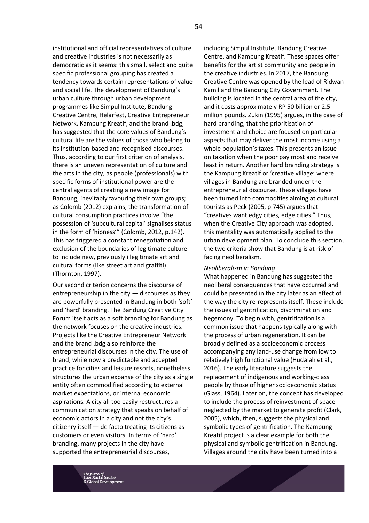institutional and official representatives of culture and creative industries is not necessarily as democratic as it seems: this small, select and quite specific professional grouping has created a tendency towards certain representations of value and social life. The development of Bandung's urban culture through urban development programmes like Simpul Institute, Bandung Creative Centre, Helarfest, Creative Entrepreneur Network, Kampung Kreatif, and the brand .bdg, has suggested that the core values of Bandung's cultural life are the values of those who belong to its institution-based and recognised discourses. Thus, according to our first criterion of analysis, there is an uneven representation of culture and the arts in the city, as people (professionals) with specific forms of institutional power are the central agents of creating a new image for Bandung, inevitably favouring their own groups; as Colomb (2012) explains, the transformation of cultural consumption practices involve "the possession of 'subcultural capital' signalises status in the form of 'hipness'" (Colomb, 2012, p.142). This has triggered a constant renegotiation and exclusion of the boundaries of legitimate culture to include new, previously illegitimate art and cultural forms (like street art and graffiti) (Thornton, 1997).

Our second criterion concerns the discourse of entrepreneurship in the city  $-$  discourses as they are powerfully presented in Bandung in both 'soft' and 'hard' branding. The Bandung Creative City Forum itself acts as a soft branding for Bandung as the network focuses on the creative industries. Projects like the Creative Entrepreneur Network and the brand .bdg also reinforce the entrepreneurial discourses in the city. The use of brand, while now a predictable and accepted practice for cities and leisure resorts, nonetheless structures the urban expanse of the city as a single entity often commodified according to external market expectations, or internal economic aspirations. A city all too easily restructures a communication strategy that speaks on behalf of economic actors in a city and not the city's citizenry itself — de facto treating its citizens as customers or even visitors. In terms of 'hard' branding, many projects in the city have supported the entrepreneurial discourses,

including Simpul Institute, Bandung Creative Centre, and Kampung Kreatif. These spaces offer benefits for the artist community and people in the creative industries. In 2017, the Bandung Creative Centre was opened by the lead of Ridwan Kamil and the Bandung City Government. The building is located in the central area of the city, and it costs approximately RP 50 billion or 2.5 million pounds. Zukin (1995) argues, in the case of hard branding, that the prioritisation of investment and choice are focused on particular aspects that may deliver the most income using a whole population's taxes. This presents an issue on taxation when the poor pay most and receive least in return. Another hard branding strategy is the Kampung Kreatif or 'creative village' where villages in Bandung are branded under the entrepreneurial discourse. These villages have been turned into commodities aiming at cultural tourists as Peck (2005, p.745) argues that "creatives want edgy cities, edge cities." Thus, when the Creative City approach was adopted, this mentality was automatically applied to the urban development plan. To conclude this section, the two criteria show that Bandung is at risk of facing neoliberalism.

#### *Neoliberalism in Bandung*

What happened in Bandung has suggested the neoliberal consequences that have occurred and could be presented in the city later as an effect of the way the city re-represents itself. These include the issues of gentrification, discrimination and hegemony. To begin with, gentrification is a common issue that happens typically along with the process of urban regeneration. It can be broadly defined as a socioeconomic process accompanying any land-use change from low to relatively high functional value (Hudalah et al., 2016). The early literature suggests the replacement of indigenous and working-class people by those of higher socioeconomic status (Glass, 1964). Later on, the concept has developed to include the process of reinvestment of space neglected by the market to generate profit (Clark, 2005), which, then, suggests the physical and symbolic types of gentrification. The Kampung Kreatif project is a clear example for both the physical and symbolic gentrification in Bandung. Villages around the city have been turned into a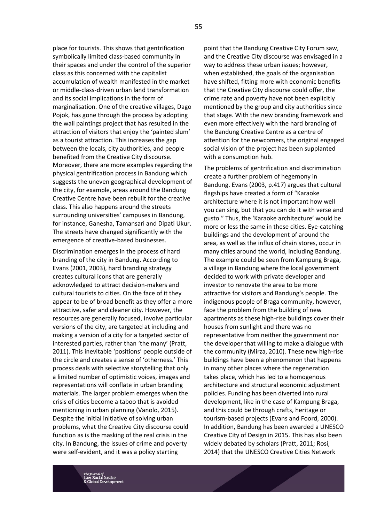place for tourists. This shows that gentrification symbolically limited class-based community in their spaces and under the control of the superior class as this concerned with the capitalist accumulation of wealth manifested in the market or middle-class-driven urban land transformation and its social implications in the form of marginalisation. One of the creative villages, Dago Pojok, has gone through the process by adopting the wall paintings project that has resulted in the attraction of visitors that enjoy the 'painted slum' as a tourist attraction. This increases the gap between the locals, city authorities, and people benefited from the Creative City discourse. Moreover, there are more examples regarding the physical gentrification process in Bandung which suggests the uneven geographical development of the city, for example, areas around the Bandung Creative Centre have been rebuilt for the creative class. This also happens around the streets surrounding universities' campuses in Bandung, for instance, Ganesha, Tamansari and Dipati Ukur. The streets have changed significantly with the emergence of creative-based businesses.

Discrimination emerges in the process of hard branding of the city in Bandung. According to Evans (2001, 2003), hard branding strategy creates cultural icons that are generally acknowledged to attract decision-makers and cultural tourists to cities. On the face of it they appear to be of broad benefit as they offer a more attractive, safer and cleaner city. However, the resources are generally focused, involve particular versions of the city, are targeted at including and making a version of a city for a targeted sector of interested parties, rather than 'the many' (Pratt, 2011). This inevitable 'positions' people outside of the circle and creates a sense of 'otherness.' This process deals with selective storytelling that only a limited number of optimistic voices, images and representations will conflate in urban branding materials. The larger problem emerges when the crisis of cities become a taboo that is avoided mentioning in urban planning (Vanolo, 2015). Despite the initial initiative of solving urban problems, what the Creative City discourse could function as is the masking of the real crisis in the city. In Bandung, the issues of crime and poverty were self-evident, and it was a policy starting

point that the Bandung Creative City Forum saw, and the Creative City discourse was envisaged in a way to address these urban issues; however, when established, the goals of the organisation have shifted, fitting more with economic benefits that the Creative City discourse could offer, the crime rate and poverty have not been explicitly mentioned by the group and city authorities since that stage. With the new branding framework and even more effectively with the hard branding of the Bandung Creative Centre as a centre of attention for the newcomers, the original engaged social vision of the project has been supplanted with a consumption hub.

The problems of gentrification and discrimination create a further problem of hegemony in Bandung. Evans (2003, p.417) argues that cultural flagships have created a form of "Karaoke architecture where it is not important how well you can sing, but that you can do it with verse and gusto." Thus, the 'Karaoke architecture' would be more or less the same in these cities. Eye-catching buildings and the development of around the area, as well as the influx of chain stores, occur in many cities around the world, including Bandung. The example could be seen from Kampung Braga, a village in Bandung where the local government decided to work with private developer and investor to renovate the area to be more attractive for visitors and Bandung's people. The indigenous people of Braga community, however, face the problem from the building of new apartments as these high-rise buildings cover their houses from sunlight and there was no representative from neither the government nor the developer that willing to make a dialogue with the community (Mirza, 2010). These new high-rise buildings have been a phenomenon that happens in many other places where the regeneration takes place, which has led to a homogenous architecture and structural economic adjustment policies. Funding has been diverted into rural development, like in the case of Kampung Braga, and this could be through crafts, heritage or tourism-based projects (Evans and Foord, 2000). In addition, Bandung has been awarded a UNESCO Creative City of Design in 2015. This has also been widely debated by scholars (Pratt, 2011; Rosi, 2014) that the UNESCO Creative Cities Network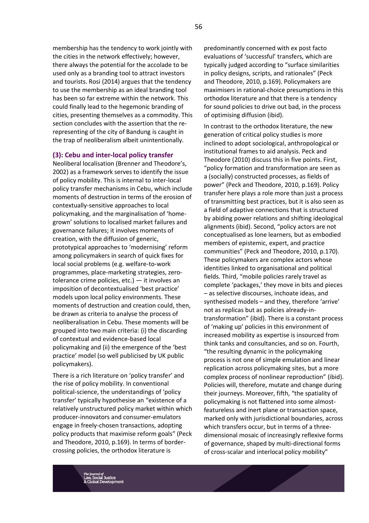membership has the tendency to work jointly with the cities in the network effectively; however, there always the potential for the accolade to be used only as a branding tool to attract investors and tourists. Rosi (2014) argues that the tendency to use the membership as an ideal branding tool has been so far extreme within the network. This could finally lead to the hegemonic branding of cities, presenting themselves as a commodity. This section concludes with the assertion that the rerepresenting of the city of Bandung is caught in the trap of neoliberalism albeit unintentionally.

# **(3): Cebu and inter-local policy transfer**

Neoliberal localisation (Brenner and Theodore's, 2002) as a framework serves to identify the issue of policy mobility. This is internal to inter-local policy transfer mechanisms in Cebu, which include moments of destruction in terms of the erosion of contextually-sensitive approaches to local policymaking, and the marginalisation of 'homegrown' solutions to localised market failures and governance failures; it involves moments of creation, with the diffusion of generic, prototypical approaches to 'modernising' reform among policymakers in search of quick fixes for local social problems (e.g. welfare-to-work programmes, place-marketing strategies, zerotolerance crime policies,  $etc.$ )  $-$  it involves an imposition of decontextualised 'best practice' models upon local policy environments. These moments of destruction and creation could, then, be drawn as criteria to analyse the process of neoliberalisation in Cebu. These moments will be grouped into two main criteria: (i) the discarding of contextual and evidence-based local policymaking and (ii) the emergence of the 'best practice' model (so well publicised by UK public policymakers).

There is a rich literature on 'policy transfer' and the rise of policy mobility. In conventional political-science, the understandings of 'policy transfer' typically hypothesise an "existence of a relatively unstructured policy market within which producer-innovators and consumer-emulators engage in freely-chosen transactions, adopting policy products that maximise reform goals" (Peck and Theodore, 2010, p.169). In terms of bordercrossing policies, the orthodox literature is

predominantly concerned with ex post facto evaluations of 'successful' transfers, which are typically judged according to "surface similarities in policy designs, scripts, and rationales" (Peck and Theodore, 2010, p.169). Policymakers are maximisers in rational-choice presumptions in this orthodox literature and that there is a tendency for sound policies to drive out bad, in the process of optimising diffusion (ibid).

In contrast to the orthodox literature, the new generation of critical policy studies is more inclined to adopt sociological, anthropological or institutional frames to aid analysis. Peck and Theodore (2010) discuss this in five points. First, "policy formation and transformation are seen as a (socially) constructed processes, as fields of power" (Peck and Theodore, 2010, p.169). Policy transfer here plays a role more than just a process of transmitting best practices, but it is also seen as a field of adaptive connections that is structured by abiding power relations and shifting ideological alignments (ibid). Second, "policy actors are not conceptualised as lone learners, but as embodied members of epistemic, expert, and practice communities" (Peck and Theodore, 2010, p.170). These policymakers are complex actors whose identities linked to organisational and political fields. Third, "mobile policies rarely travel as complete 'packages,' they move in bits and pieces – as selective discourses, inchoate ideas, and synthesised models – and they, therefore 'arrive' not as replicas but as policies already-intransformation" (ibid). There is a constant process of 'making up' policies in this environment of increased mobility as expertise is insourced from think tanks and consultancies, and so on. Fourth, "the resulting dynamic in the policymaking process is not one of simple emulation and linear replication across policymaking sites, but a more complex process of nonlinear reproduction" (ibid). Policies will, therefore, mutate and change during their journeys. Moreover, fifth, "the spatiality of policymaking is not flattened into some almostfeatureless and inert plane or transaction space, marked only with jurisdictional boundaries, across which transfers occur, but in terms of a threedimensional mosaic of increasingly reflexive forms of governance, shaped by multi-directional forms of cross-scalar and interlocal policy mobility"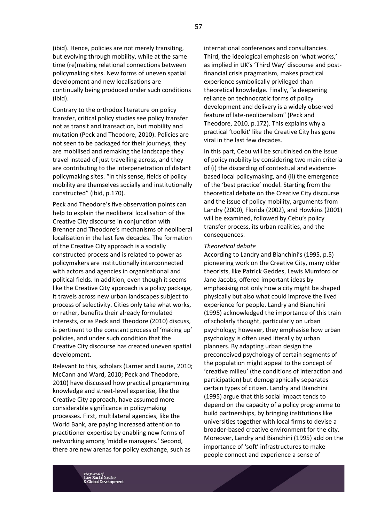(ibid). Hence, policies are not merely transiting, but evolving through mobility, while at the same time (re)making relational connections between policymaking sites. New forms of uneven spatial development and new localisations are continually being produced under such conditions (ibid).

Contrary to the orthodox literature on policy transfer, critical policy studies see policy transfer not as transit and transaction, but mobility and mutation (Peck and Theodore, 2010). Policies are not seen to be packaged for their journeys, they are mobilised and remaking the landscape they travel instead of just travelling across, and they are contributing to the interpenetration of distant policymaking sites. "In this sense, fields of policy mobility are themselves socially and institutionally constructed" (ibid, p.170).

Peck and Theodore's five observation points can help to explain the neoliberal localisation of the Creative City discourse in conjunction with Brenner and Theodore's mechanisms of neoliberal localisation in the last few decades. The formation of the Creative City approach is a socially constructed process and is related to power as policymakers are institutionally interconnected with actors and agencies in organisational and political fields. In addition, even though it seems like the Creative City approach is a policy package, it travels across new urban landscapes subject to process of selectivity. Cities only take what works, or rather, benefits their already formulated interests, or as Peck and Theodore (2010) discuss, is pertinent to the constant process of 'making up' policies, and under such condition that the Creative City discourse has created uneven spatial development.

Relevant to this, scholars (Larner and Laurie, 2010; McCann and Ward, 2010; Peck and Theodore, 2010) have discussed how practical programming knowledge and street-level expertise, like the Creative City approach, have assumed more considerable significance in policymaking processes. First, multilateral agencies, like the World Bank, are paying increased attention to practitioner expertise by enabling new forms of networking among 'middle managers.' Second, there are new arenas for policy exchange, such as

international conferences and consultancies. Third, the ideological emphasis on 'what works,' as implied in UK's 'Third Way' discourse and postfinancial crisis pragmatism, makes practical experience symbolically privileged than theoretical knowledge. Finally, "a deepening reliance on technocratic forms of policy development and delivery is a widely observed feature of late-neoliberalism" (Peck and Theodore, 2010, p.172). This explains why a practical 'toolkit' like the Creative City has gone viral in the last few decades.

In this part, Cebu will be scrutinised on the issue of policy mobility by considering two main criteria of (i) the discarding of contextual and evidencebased local policymaking, and (ii) the emergence of the 'best practice' model. Starting from the theoretical debate on the Creative City discourse and the issue of policy mobility, arguments from Landry (2000), Florida (2002), and Howkins (2001) will be examined, followed by Cebu's policy transfer process, its urban realities, and the consequences.

#### *Theoretical debate*

According to Landry and Bianchini's (1995, p.5) pioneering work on the Creative City, many older theorists, like Patrick Geddes, Lewis Mumford or Jane Jacobs, offered important ideas by emphasising not only how a city might be shaped physically but also what could improve the lived experience for people. Landry and Bianchini (1995) acknowledged the importance of this train of scholarly thought, particularly on urban psychology; however, they emphasise how urban psychology is often used literally by urban planners. By adapting urban design the preconceived psychology of certain segments of the population might appeal to the concept of 'creative milieu' (the conditions of interaction and participation) but demographically separates certain types of citizen. Landry and Bianchini (1995) argue that this social impact tends to depend on the capacity of a policy programme to build partnerships, by bringing institutions like universities together with local firms to devise a broader-based creative environment for the city. Moreover, Landry and Bianchini (1995) add on the importance of 'soft' infrastructures to make people connect and experience a sense of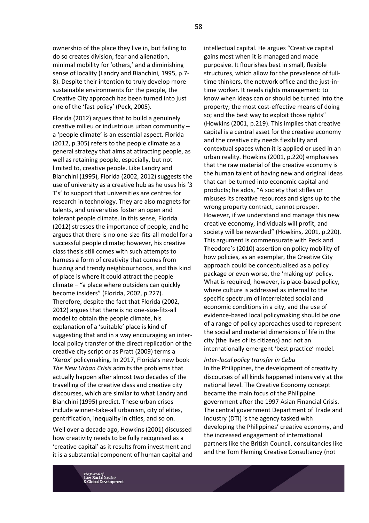ownership of the place they live in, but failing to do so creates division, fear and alienation, minimal mobility for 'others,' and a diminishing sense of locality (Landry and Bianchini, 1995, p.7- 8). Despite their intention to truly develop more sustainable environments for the people, the Creative City approach has been turned into just one of the 'fast policy' (Peck, 2005).

Florida (2012) argues that to build a genuinely creative milieu or industrious urban community – a 'people climate' is an essential aspect. Florida (2012, p.305) refers to the people climate as a general strategy that aims at attracting people, as well as retaining people, especially, but not limited to, creative people. Like Landry and Bianchini (1995), Florida (2002, 2012) suggests the use of university as a creative hub as he uses his '3 T's' to support that universities are centres for research in technology. They are also magnets for talents, and universities foster an open and tolerant people climate. In this sense, Florida (2012) stresses the importance of people, and he argues that there is no one-size-fits-all model for a successful people climate; however, his creative class thesis still comes with such attempts to harness a form of creativity that comes from buzzing and trendy neighbourhoods, and this kind of place is where it could attract the people climate – "a place where outsiders can quickly become insiders" (Florida, 2002, p.227). Therefore, despite the fact that Florida (2002, 2012) argues that there is no one-size-fits-all model to obtain the people climate, his explanation of a 'suitable' place is kind of suggesting that and in a way encouraging an interlocal policy transfer of the direct replication of the creative city script or as Pratt (2009) terms a 'Xerox' policymaking. In 2017, Florida's new book *The New Urban Crisis* admits the problems that actually happen after almost two decades of the travelling of the creative class and creative city discourses, which are similar to what Landry and Bianchini (1995) predict. These urban crises include winner-take-all urbanism, city of elites, gentrification, inequality in cities, and so on.

Well over a decade ago, Howkins (2001) discussed how creativity needs to be fully recognised as a 'creative capital' as it results from investment and it is a substantial component of human capital and intellectual capital. He argues "Creative capital gains most when it is managed and made purposive. It flourishes best in small, flexible structures, which allow for the prevalence of fulltime thinkers, the network office and the just-intime worker. It needs rights management: to know when ideas can or should be turned into the property; the most cost-effective means of doing so; and the best way to exploit those rights" (Howkins (2001, p.219). This implies that creative capital is a central asset for the creative economy and the creative city needs flexibility and contextual spaces when it is applied or used in an urban reality. Howkins (2001, p.220) emphasises that the raw material of the creative economy is the human talent of having new and original ideas that can be turned into economic capital and products; he adds, "A society that stifles or misuses its creative resources and signs up to the wrong property contract, cannot prosper. However, if we understand and manage this new creative economy, individuals will profit, and society will be rewarded" (Howkins, 2001, p.220). This argument is commensurate with Peck and Theodore's (2010) assertion on policy mobility of how policies, as an exemplar, the Creative City approach could be conceptualised as a policy package or even worse, the 'making up' policy. What is required, however, is place-based policy, where culture is addressed as internal to the specific spectrum of interrelated social and economic conditions in a city, and the use of evidence-based local policymaking should be one of a range of policy approaches used to represent the social and material dimensions of life in the city (the lives of its citizens) and not an internationally emergent 'best practice' model.

#### *Inter-local policy transfer in Cebu*

In the Philippines, the development of creativity discourses of all kinds happened intensively at the national level. The Creative Economy concept became the main focus of the Philippine government after the 1997 Asian Financial Crisis. The central government Department of Trade and Industry (DTI) is the agency tasked with developing the Philippines' creative economy, and the increased engagement of international partners like the British Council, consultancies like and the Tom Fleming Creative Consultancy (not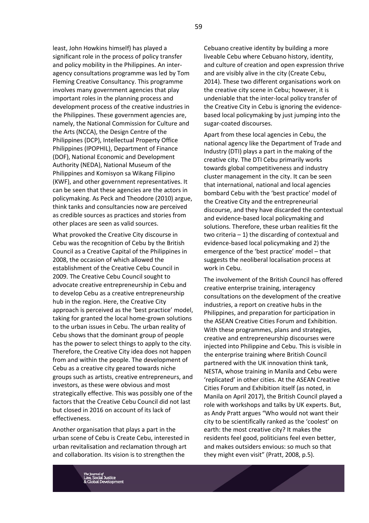least, John Howkins himself) has played a significant role in the process of policy transfer and policy mobility in the Philippines. An interagency consultations programme was led by Tom Fleming Creative Consultancy. This programme involves many government agencies that play important roles in the planning process and development process of the creative industries in the Philippines. These government agencies are, namely, the National Commission for Culture and the Arts (NCCA), the Design Centre of the Philippines (DCP), Intellectual Property Office Philippines (IPOPHIL), Department of Finance (DOF), National Economic and Development Authority (NEDA), National Museum of the Philippines and Komisyon sa Wikang Filipino (KWF), and other government representatives. It can be seen that these agencies are the actors in policymaking. As Peck and Theodore (2010) argue, think tanks and consultancies now are perceived as credible sources as practices and stories from other places are seen as valid sources.

What provoked the Creative City discourse in Cebu was the recognition of Cebu by the British Council as a Creative Capital of the Philippines in 2008, the occasion of which allowed the establishment of the Creative Cebu Council in 2009. The Creative Cebu Council sought to advocate creative entrepreneurship in Cebu and to develop Cebu as a creative entrepreneurship hub in the region. Here, the Creative City approach is perceived as the 'best practice' model, taking for granted the local home-grown solutions to the urban issues in Cebu. The urban reality of Cebu shows that the dominant group of people has the power to select things to apply to the city. Therefore, the Creative City idea does not happen from and within the people. The development of Cebu as a creative city geared towards niche groups such as artists, creative entrepreneurs, and investors, as these were obvious and most strategically effective. This was possibly one of the factors that the Creative Cebu Council did not last but closed in 2016 on account of its lack of effectiveness.

Another organisation that plays a part in the urban scene of Cebu is Create Cebu, interested in urban revitalisation and reclamation through art and collaboration. Its vision is to strengthen the

Cebuano creative identity by building a more liveable Cebu where Cebuano history, identity, and culture of creation and open expression thrive and are visibly alive in the city (Create Cebu, 2014). These two different organisations work on the creative city scene in Cebu; however, it is undeniable that the inter-local policy transfer of the Creative City in Cebu is ignoring the evidencebased local policymaking by just jumping into the sugar-coated discourses.

Apart from these local agencies in Cebu, the national agency like the Department of Trade and Industry (DTI) plays a part in the making of the creative city. The DTI Cebu primarily works towards global competitiveness and industry cluster management in the city. It can be seen that international, national and local agencies bombard Cebu with the 'best practice' model of the Creative City and the entrepreneurial discourse, and they have discarded the contextual and evidence-based local policymaking and solutions. Therefore, these urban realities fit the two criteria – 1) the discarding of contextual and evidence-based local policymaking and 2) the emergence of the 'best practice' model – that suggests the neoliberal localisation process at work in Cebu.

The involvement of the British Council has offered creative enterprise training, interagency consultations on the development of the creative industries, a report on creative hubs in the Philippines, and preparation for participation in the ASEAN Creative Cities Forum and Exhibition. With these programmes, plans and strategies, creative and entrepreneurship discourses were injected into Philippine and Cebu. This is visible in the enterprise training where British Council partnered with the UK innovation think tank, NESTA, whose training in Manila and Cebu were 'replicated' in other cities. At the ASEAN Creative Cities Forum and Exhibition itself (as noted, in Manila on April 2017), the British Council played a role with workshops and talks by UK experts. But, as Andy Pratt argues "Who would not want their city to be scientifically ranked as the 'coolest' on earth: the most creative city? It makes the residents feel good, politicians feel even better, and makes outsiders envious: so much so that they might even visit" (Pratt, 2008, p.5).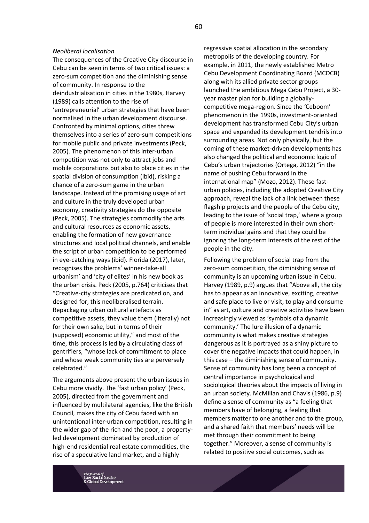# *Neoliberal localisation*

The consequences of the Creative City discourse in Cebu can be seen in terms of two critical issues: a zero-sum competition and the diminishing sense of community. In response to the deindustrialisation in cities in the 1980s, Harvey (1989) calls attention to the rise of 'entrepreneurial' urban strategies that have been normalised in the urban development discourse. Confronted by minimal options, cities threw themselves into a series of zero-sum competitions for mobile public and private investments (Peck, 2005). The phenomenon of this inter-urban competition was not only to attract jobs and mobile corporations but also to place cities in the spatial division of consumption (ibid), risking a chance of a zero-sum game in the urban landscape. Instead of the promising usage of art and culture in the truly developed urban economy, creativity strategies do the opposite (Peck, 2005). The strategies commodify the arts and cultural resources as economic assets, enabling the formation of new governance structures and local political channels, and enable the script of urban competition to be performed in eye-catching ways (ibid). Florida (2017), later, recognises the problems' winner-take-all urbanism' and 'city of elites' in his new book as the urban crisis. Peck (2005, p.764) criticises that "Creative-city strategies are predicated on, and designed for, this neoliberalised terrain. Repackaging urban cultural artefacts as competitive assets, they value them (literally) not for their own sake, but in terms of their (supposed) economic utility," and most of the time, this process is led by a circulating class of gentrifiers, "whose lack of commitment to place and whose weak community ties are perversely celebrated."

The arguments above present the urban issues in Cebu more vividly. The 'fast urban policy' (Peck, 2005), directed from the government and influenced by multilateral agencies, like the British Council, makes the city of Cebu faced with an unintentional inter-urban competition, resulting in the wider gap of the rich and the poor, a propertyled development dominated by production of high-end residential real estate commodities, the rise of a speculative land market, and a highly

regressive spatial allocation in the secondary metropolis of the developing country. For example, in 2011, the newly established Metro Cebu Development Coordinating Board (MCDCB) along with its allied private sector groups launched the ambitious Mega Cebu Project, a 30 year master plan for building a globallycompetitive mega-region. Since the 'Ceboom' phenomenon in the 1990s, investment-oriented development has transformed Cebu City's urban space and expanded its development tendrils into surrounding areas. Not only physically, but the coming of these market-driven developments has also changed the political and economic logic of Cebu's urban trajectories (Ortega, 2012) "in the name of pushing Cebu forward in the international map" (Mozo, 2012). These fasturban policies, including the adopted Creative City approach, reveal the lack of a link between these flagship projects and the people of the Cebu city, leading to the issue of 'social trap,' where a group of people is more interested in their own shortterm individual gains and that they could be ignoring the long-term interests of the rest of the people in the city.

Following the problem of social trap from the zero-sum competition, the diminishing sense of community is an upcoming urban issue in Cebu. Harvey (1989, p.9) argues that "Above all, the city has to appear as an innovative, exciting, creative and safe place to live or visit, to play and consume in" as art, culture and creative activities have been increasingly viewed as 'symbols of a dynamic community.' The lure illusion of a dynamic community is what makes creative strategies dangerous as it is portrayed as a shiny picture to cover the negative impacts that could happen, in this case – the diminishing sense of community. Sense of community has long been a concept of central importance in psychological and sociological theories about the impacts of living in an urban society. McMillan and Chavis (1986, p.9) define a sense of community as "a feeling that members have of belonging, a feeling that members matter to one another and to the group, and a shared faith that members' needs will be met through their commitment to being together." Moreover, a sense of community is related to positive social outcomes, such as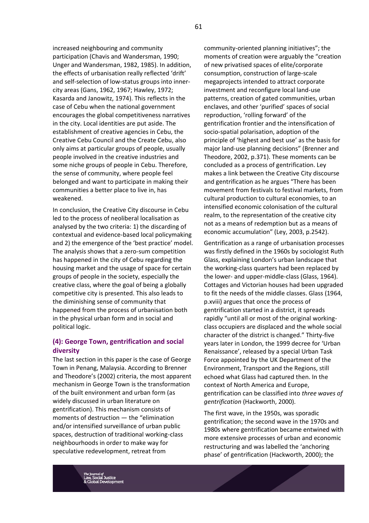increased neighbouring and community participation (Chavis and Wandersman, 1990; Unger and Wandersman, 1982, 1985). In addition, the effects of urbanisation really reflected 'drift' and self-selection of low-status groups into innercity areas (Gans, 1962, 1967; Hawley, 1972; Kasarda and Janowitz, 1974). This reflects in the case of Cebu when the national government encourages the global competitiveness narratives in the city. Local identities are put aside. The establishment of creative agencies in Cebu, the Creative Cebu Council and the Create Cebu, also only aims at particular groups of people, usually people involved in the creative industries and some niche groups of people in Cebu. Therefore, the sense of community, where people feel belonged and want to participate in making their communities a better place to live in, has weakened.

In conclusion, the Creative City discourse in Cebu led to the process of neoliberal localisation as analysed by the two criteria: 1) the discarding of contextual and evidence-based local policymaking and 2) the emergence of the 'best practice' model. The analysis shows that a zero-sum competition has happened in the city of Cebu regarding the housing market and the usage of space for certain groups of people in the society, especially the creative class, where the goal of being a globally competitive city is presented. This also leads to the diminishing sense of community that happened from the process of urbanisation both in the physical urban form and in social and political logic.

# **(4): George Town, gentrification and social diversity**

The last section in this paper is the case of George Town in Penang, Malaysia. According to Brenner and Theodore's (2002) criteria, the most apparent mechanism in George Town is the transformation of the built environment and urban form (as widely discussed in urban literature on gentrification). This mechanism consists of moments of destruction — the "elimination and/or intensified surveillance of urban public spaces, destruction of traditional working-class neighbourhoods in order to make way for speculative redevelopment, retreat from

community-oriented planning initiatives"; the moments of creation were arguably the "creation of new privatised spaces of elite/corporate consumption, construction of large-scale megaprojects intended to attract corporate investment and reconfigure local land-use patterns, creation of gated communities, urban enclaves, and other 'purified' spaces of social reproduction, 'rolling forward' of the gentrification frontier and the intensification of socio-spatial polarisation, adoption of the principle of 'highest and best use' as the basis for major land-use planning decisions" (Brenner and Theodore, 2002, p.371). These moments can be concluded as a process of gentrification. Ley makes a link between the Creative City discourse and gentrification as he argues "There has been movement from festivals to festival markets, from cultural production to cultural economies, to an intensified economic colonisation of the cultural realm, to the representation of the creative city not as a means of redemption but as a means of economic accumulation" (Ley, 2003, p.2542).

Gentrification as a range of urbanisation processes was firstly defined in the 1960s by sociologist Ruth Glass, explaining London's urban landscape that the working-class quarters had been replaced by the lower- and upper-middle-class (Glass, 1964). Cottages and Victorian houses had been upgraded to fit the needs of the middle classes. Glass (1964, p.xviii) argues that once the process of gentrification started in a district, it spreads rapidly "until all or most of the original workingclass occupiers are displaced and the whole social character of the district is changed." Thirty-five years later in London, the 1999 decree for 'Urban Renaissance', released by a special Urban Task Force appointed by the UK Department of the Environment, Transport and the Regions, still echoed what Glass had captured then. In the context of North America and Europe, gentrification can be classified into *three waves of gentrification* (Hackworth, 2000).

The first wave, in the 1950s, was sporadic gentrification; the second wave in the 1970s and 1980s where gentrification became entwined with more extensive processes of urban and economic restructuring and was labelled the 'anchoring phase' of gentrification (Hackworth, 2000); the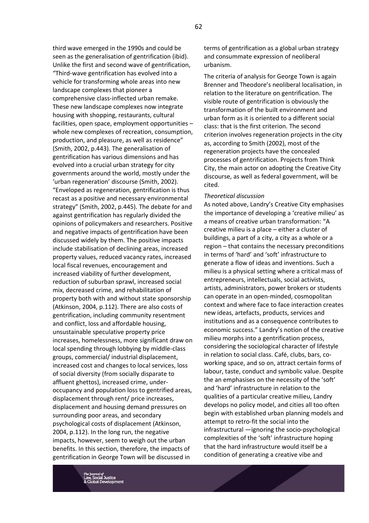third wave emerged in the 1990s and could be seen as the generalisation of gentrification (ibid). Unlike the first and second wave of gentrification, "Third-wave gentrification has evolved into a vehicle for transforming whole areas into new landscape complexes that pioneer a comprehensive class-inflected urban remake. These new landscape complexes now integrate housing with shopping, restaurants, cultural facilities, open space, employment opportunities – whole new complexes of recreation, consumption, production, and pleasure, as well as residence" (Smith, 2002, p.443). The generalisation of gentrification has various dimensions and has evolved into a crucial urban strategy for city governments around the world, mostly under the 'urban regeneration' discourse (Smith, 2002). "Enveloped as regeneration, gentrification is thus recast as a positive and necessary environmental strategy" (Smith, 2002, p.445). The debate for and against gentrification has regularly divided the opinions of policymakers and researchers. Positive and negative impacts of gentrification have been discussed widely by them. The positive impacts include stabilisation of declining areas, increased property values, reduced vacancy rates, increased local fiscal revenues, encouragement and increased viability of further development, reduction of suburban sprawl, increased social mix, decreased crime, and rehabilitation of property both with and without state sponsorship (Atkinson, 2004, p.112). There are also costs of gentrification, including community resentment and conflict, loss and affordable housing, unsustainable speculative property price increases, homelessness, more significant draw on local spending through lobbying by middle-class groups, commercial/ industrial displacement, increased cost and changes to local services, loss of social diversity (from socially disparate to affluent ghettos), increased crime, underoccupancy and population loss to gentrified areas, displacement through rent/ price increases, displacement and housing demand pressures on surrounding poor areas, and secondary psychological costs of displacement (Atkinson, 2004, p.112). In the long run, the negative impacts, however, seem to weigh out the urban benefits. In this section, therefore, the impacts of gentrification in George Town will be discussed in

terms of gentrification as a global urban strategy and consummate expression of neoliberal urbanism.

The criteria of analysis for George Town is again Brenner and Theodore's neoliberal localisation, in relation to the literature on gentrification. The visible route of gentrification is obviously the transformation of the built environment and urban form as it is oriented to a different social class: that is the first criterion. The second criterion involves regeneration projects in the city as, according to Smith (2002), most of the regeneration projects have the concealed processes of gentrification. Projects from Think City, the main actor on adopting the Creative City discourse, as well as federal government, will be cited.

#### *Theoretical discussion*

As noted above, Landry's Creative City emphasises the importance of developing a 'creative milieu' as a means of creative urban transformation: "A creative milieu is a place – either a cluster of buildings, a part of a city, a city as a whole or a region – that contains the necessary preconditions in terms of 'hard' and 'soft' infrastructure to generate a flow of ideas and inventions. Such a milieu is a physical setting where a critical mass of entrepreneurs, intellectuals, social activists, artists, administrators, power brokers or students can operate in an open-minded, cosmopolitan context and where face to face interaction creates new ideas, artefacts, products, services and institutions and as a consequence contributes to economic success." Landry's notion of the creative milieu morphs into a gentrification process, considering the sociological character of lifestyle in relation to social class. Café, clubs, bars, coworking space, and so on, attract certain forms of labour, taste, conduct and symbolic value. Despite the an emphasises on the necessity of the 'soft' and 'hard' infrastructure in relation to the qualities of a particular creative milieu, Landry develops no policy model, and cities all too often begin with established urban planning models and attempt to retro-fit the social into the infrastructural —ignoring the socio-psychological complexities of the 'soft' infrastructure hoping that the hard infrastructure would itself be a condition of generating a creative vibe and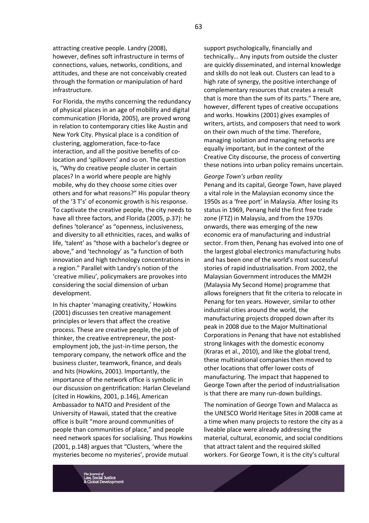attracting creative people. Landry (2008), however, defines soft infrastructure in terms of connections, values, networks, conditions, and attitudes, and these are not conceivably created through the formation or manipulation of hard infrastructure.

For Florida, the myths concerning the redundancy of physical places in an age of mobility and digital communication (Florida, 2005), are proved wrong in relation to contemporary cities like Austin and New York City. Physical place is a condition of clustering, agglomeration, face-to-face interaction, and all the positive benefits of colocation and 'spillovers' and so on. The question is, "Why do creative people cluster in certain places? In a world where people are highly mobile, why do they choose some cities over others and for what reasons?" His popular theory of the '3 T's' of economic growth is his response. To captivate the creative people, the city needs to have all three factors, and Florida (2005, p.37): he defines 'tolerance' as "openness, inclusiveness, and diversity to all ethnicities, races, and walks of life, 'talent' as "those with a bachelor's degree or above," and 'technology' as "a function of both innovation and high technology concentrations in a region." Parallel with Landry's notion of the 'creative milieu', policymakers are provokes into considering the social dimension of urban development.

In his chapter 'managing creativity,' Howkins (2001) discusses ten creative management principles or levers that affect the creative process. These are creative people, the job of thinker, the creative entrepreneur, the postemployment job, the just-in-time person, the temporary company, the network office and the business cluster, teamwork, finance, and deals and hits (Howkins, 2001). Importantly, the importance of the network office is symbolic in our discussion on gentrification: Harlan Cleveland (cited in Howkins, 2001, p.146), American Ambassador to NATO and President of the University of Hawaii, stated that the creative office is built "more around communities of people than communities of place," and people need network spaces for socialising. Thus Howkins (2001, p.148) argues that "Clusters, 'where the mysteries become no mysteries', provide mutual

support psychologically, financially and technically… Any inputs from outside the cluster are quickly disseminated, and internal knowledge and skills do not leak out. Clusters can lead to a high rate of synergy, the positive interchange of complementary resources that creates a result that is more than the sum of its parts." There are, however, different types of creative occupations and works. Howkins (2001) gives examples of writers, artists, and composers that need to work on their own much of the time. Therefore, managing isolation and managing networks are equally important, but in the context of the Creative City discourse, the process of converting these notions into urban policy remains uncertain.

#### *George Town's urban reality*

Penang and its capital, George Town, have played a vital role in the Malaysian economy since the 1950s as a 'free port' in Malaysia. After losing its status in 1969, Penang held the first free trade zone (FTZ) in Malaysia, and from the 1970s onwards, there was emerging of the new economic era of manufacturing and industrial sector. From then, Penang has evolved into one of the largest global electronics manufacturing hubs and has been one of the world's most successful stories of rapid industrialisation. From 2002, the Malaysian Government introduces the MM2H (Malaysia My Second Home) programme that allows foreigners that fit the criteria to relocate in Penang for ten years. However, similar to other industrial cities around the world, the manufacturing projects dropped down after its peak in 2008 due to the Major Multinational Corporations in Penang that have not established strong linkages with the domestic economy (Kraras et al., 2010), and like the global trend, these multinational companies then moved to other locations that offer lower costs of manufacturing. The impact that happened to George Town after the period of industrialisation is that there are many run-down buildings.

The nomination of George Town and Malacca as the UNESCO World Heritage Sites in 2008 came at a time when many projects to restore the city as a liveable place were already addressing the material, cultural, economic, and social conditions that attract talent and the required skilled workers. For George Town, it is the city's cultural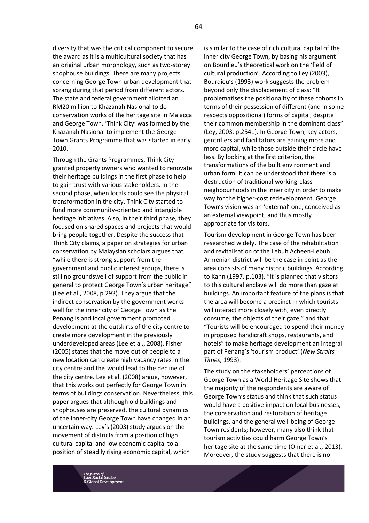diversity that was the critical component to secure the award as it is a multicultural society that has an original urban morphology, such as two-storey shophouse buildings. There are many projects concerning George Town urban development that sprang during that period from different actors. The state and federal government allotted an RM20 million to Khazanah Nasional to do conservation works of the heritage site in Malacca and George Town. 'Think City' was formed by the Khazanah Nasional to implement the George Town Grants Programme that was started in early 2010.

Through the Grants Programmes, Think City granted property owners who wanted to renovate their heritage buildings in the first phase to help to gain trust with various stakeholders. In the second phase, when locals could see the physical transformation in the city, Think City started to fund more community-oriented and intangible heritage initiatives. Also, in their third phase, they focused on shared spaces and projects that would bring people together. Despite the success that Think City claims, a paper on strategies for urban conservation by Malaysian scholars argues that "while there is strong support from the government and public interest groups, there is still no groundswell of support from the public in general to protect George Town's urban heritage" (Lee et al., 2008, p.293). They argue that the indirect conservation by the government works well for the inner city of George Town as the Penang Island local government promoted development at the outskirts of the city centre to create more development in the previously underdeveloped areas (Lee et al., 2008). Fisher (2005) states that the move out of people to a new location can create high vacancy rates in the city centre and this would lead to the decline of the city centre. Lee et al. (2008) argue, however, that this works out perfectly for George Town in terms of buildings conservation. Nevertheless, this paper argues that although old buildings and shophouses are preserved, the cultural dynamics of the inner-city George Town have changed in an uncertain way. Ley's (2003) study argues on the movement of districts from a position of high cultural capital and low economic capital to a position of steadily rising economic capital, which

is similar to the case of rich cultural capital of the inner city George Town, by basing his argument on Bourdieu's theoretical work on the 'field of cultural production'. According to Ley (2003), Bourdieu's (1993) work suggests the problem beyond only the displacement of class: "It problematises the positionality of these cohorts in terms of their possession of different (and in some respects oppositional) forms of capital, despite their common membership in the dominant class" (Ley, 2003, p.2541). In George Town, key actors, gentrifiers and facilitators are gaining more and more capital, while those outside their circle have less. By looking at the first criterion, the transformations of the built environment and urban form, it can be understood that there is a destruction of traditional working-class neighbourhoods in the inner city in order to make way for the higher-cost redevelopment. George Town's vision was an 'external' one, conceived as an external viewpoint, and thus mostly appropriate for visitors.

Tourism development in George Town has been researched widely. The case of the rehabilitation and revitalisation of the Lebuh Acheen-Lebuh Armenian district will be the case in point as the area consists of many historic buildings. According to Kahn (1997, p.103), "It is planned that visitors to this cultural enclave will do more than gaze at buildings. An important feature of the plans is that the area will become a precinct in which tourists will interact more closely with, even directly consume, the objects of their gaze," and that "Tourists will be encouraged to spend their money in proposed handicraft shops, restaurants, and hotels" to make heritage development an integral part of Penang's 'tourism product' (*New Straits Times*, 1993).

The study on the stakeholders' perceptions of George Town as a World Heritage Site shows that the majority of the respondents are aware of George Town's status and think that such status would have a positive impact on local businesses, the conservation and restoration of heritage buildings, and the general well-being of George Town residents; however, many also think that tourism activities could harm George Town's heritage site at the same time (Omar et al., 2013). Moreover, the study suggests that there is no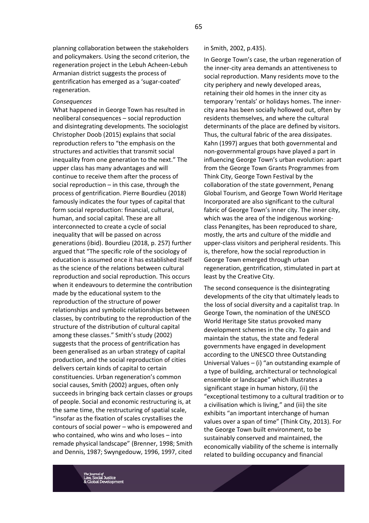planning collaboration between the stakeholders and policymakers. Using the second criterion, the regeneration project in the Lebuh Acheen-Lebuh Armanian district suggests the process of gentrification has emerged as a 'sugar-coated' regeneration.

#### *Consequences*

What happened in George Town has resulted in neoliberal consequences – social reproduction and disintegrating developments. The sociologist Christopher Doob (2015) explains that social reproduction refers to "the emphasis on the structures and activities that transmit social inequality from one generation to the next." The upper class has many advantages and will continue to receive them after the process of social reproduction – in this case, through the process of gentrification. Pierre Bourdieu (2018) famously indicates the four types of capital that form social reproduction: financial, cultural, human, and social capital. These are all interconnected to create a cycle of social inequality that will be passed on across generations (ibid). Bourdieu (2018, p. 257) further argued that "The specific role of the sociology of education is assumed once it has established itself as the science of the relations between cultural reproduction and social reproduction. This occurs when it endeavours to determine the contribution made by the educational system to the reproduction of the structure of power relationships and symbolic relationships between classes, by contributing to the reproduction of the structure of the distribution of cultural capital among these classes." Smith's study (2002) suggests that the process of gentrification has been generalised as an urban strategy of capital production, and the social reproduction of cities delivers certain kinds of capital to certain constituencies. Urban regeneration's common social causes, Smith (2002) argues, often only succeeds in bringing back certain classes or groups of people. Social and economic restructuring is, at the same time, the restructuring of spatial scale, "insofar as the fixation of scales crystallises the contours of social power – who is empowered and who contained, who wins and who loses – into remade physical landscape" (Brenner, 1998; Smith and Dennis, 1987; Swyngedouw, 1996, 1997, cited

#### in Smith, 2002, p.435).

In George Town's case, the urban regeneration of the inner-city area demands an attentiveness to social reproduction. Many residents move to the city periphery and newly developed areas, retaining their old homes in the inner city as temporary 'rentals' or holidays homes. The innercity area has been socially hollowed out, often by residents themselves, and where the cultural determinants of the place are defined by visitors. Thus, the cultural fabric of the area dissipates. Kahn (1997) argues that both governmental and non-governmental groups have played a part in influencing George Town's urban evolution: apart from the George Town Grants Programmes from Think City, George Town Festival by the collaboration of the state government, Penang Global Tourism, and George Town World Heritage Incorporated are also significant to the cultural fabric of George Town's inner city. The inner city, which was the area of the indigenous workingclass Penangites, has been reproduced to share, mostly, the arts and culture of the middle and upper-class visitors and peripheral residents. This is, therefore, how the social reproduction in George Town emerged through urban regeneration, gentrification, stimulated in part at least by the Creative City.

The second consequence is the disintegrating developments of the city that ultimately leads to the loss of social diversity and a capitalist trap. In George Town, the nomination of the UNESCO World Heritage Site status provoked many development schemes in the city. To gain and maintain the status, the state and federal governments have engaged in development according to the UNESCO three Outstanding Universal Values – (i) "an outstanding example of a type of building, architectural or technological ensemble or landscape" which illustrates a significant stage in human history, (ii) the "exceptional testimony to a cultural tradition or to a civilisation which is living," and (iii) the site exhibits "an important interchange of human values over a span of time" (Think City, 2013). For the George Town built environment, to be sustainably conserved and maintained, the economically viability of the scheme is internally related to building occupancy and financial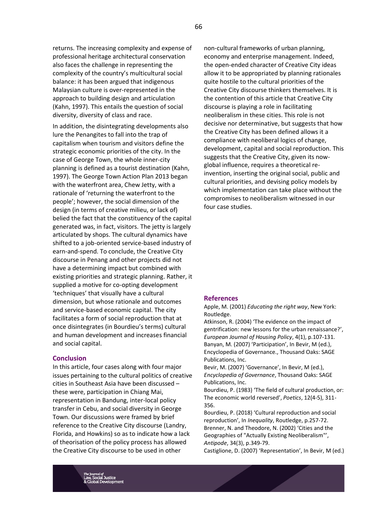returns. The increasing complexity and expense of professional heritage architectural conservation also faces the challenge in representing the complexity of the country's multicultural social balance: it has been argued that indigenous Malaysian culture is over-represented in the approach to building design and articulation (Kahn, 1997). This entails the question of social diversity, diversity of class and race.

In addition, the disintegrating developments also lure the Penangites to fall into the trap of capitalism when tourism and visitors define the strategic economic priorities of the city. In the case of George Town, the whole inner-city planning is defined as a tourist destination (Kahn, 1997). The George Town Action Plan 2013 began with the waterfront area, Chew Jetty, with a rationale of 'returning the waterfront to the people'; however, the social dimension of the design (in terms of creative milieu, or lack of) belied the fact that the constituency of the capital generated was, in fact, visitors. The jetty is largely articulated by shops. The cultural dynamics have shifted to a job-oriented service-based industry of earn-and-spend. To conclude, the Creative City discourse in Penang and other projects did not have a determining impact but combined with existing priorities and strategic planning. Rather, it supplied a motive for co-opting development 'techniques' that visually have a cultural dimension, but whose rationale and outcomes and service-based economic capital. The city facilitates a form of social reproduction that at once disintegrates (in Bourdieu's terms) cultural and human development and increases financial and social capital.

### **Conclusion**

In this article, four cases along with four major issues pertaining to the cultural politics of creative cities in Southeast Asia have been discussed – these were, participation in Chiang Mai, representation in Bandung, inter-local policy transfer in Cebu, and social diversity in George Town. Our discussions were framed by brief reference to the Creative City discourse (Landry, Florida, and Howkins) so as to indicate how a lack of theorisation of the policy process has allowed the Creative City discourse to be used in other

non-cultural frameworks of urban planning, economy and enterprise management. Indeed, the open-ended character of Creative City ideas allow it to be appropriated by planning rationales quite hostile to the cultural priorities of the Creative City discourse thinkers themselves. It is the contention of this article that Creative City discourse is playing a role in facilitating neoliberalism in these cities. This role is not decisive nor determinative, but suggests that how the Creative City has been defined allows it a compliance with neoliberal logics of change, development, capital and social reproduction. This suggests that the Creative City, given its nowglobal influence, requires a theoretical reinvention, inserting the original social, public and cultural priorities, and devising policy models by which implementation can take place without the compromises to neoliberalism witnessed in our four case studies.

#### **References**

Apple, M. (2001) *Educating the right way*, New York: Routledge.

Atkinson, R. (2004) 'The evidence on the impact of gentrification: new lessons for the urban renaissance?', *European Journal of Housing Policy*, 4(1), p.107-131. Banyan, M. (2007) 'Participation', In Bevir, M (ed.), Encyclopedia of Governance., Thousand Oaks: SAGE Publications, Inc.

Bevir, M. (2007) 'Governance', In Bevir, M (ed.), *Encyclopedia of Governance*, Thousand Oaks: SAGE Publications, Inc.

Bourdieu, P. (1983) 'The field of cultural production, or: The economic world reversed', *Poetics*, 12(4-5), 311- 356.

Bourdieu, P. (2018) 'Cultural reproduction and social reproduction', In *Inequality*, Routledge, p.257-72. Brenner, N. and Theodore, N. (2002) 'Cities and the Geographies of "Actually Existing Neoliberalism"', *Antipode*, 34(3), p.349-79.

Castiglione, D. (2007) 'Representation', In Bevir, M (ed.)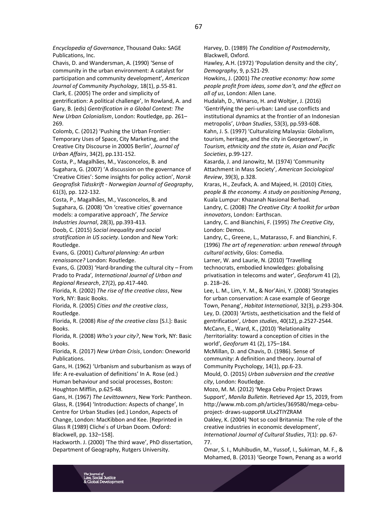*Encyclopedia of Governance*, Thousand Oaks: SAGE Publications, Inc.

Chavis, D. and Wandersman, A. (1990) 'Sense of community in the urban environment: A catalyst for participation and community development', *American Journal of Community Psychology*, 18(1), p.55-81. Clark, E. (2005) The order and simplicity of gentrification: A political challenge', In Rowland, A. and Gary, B. (eds) *Gentrification in a Global Context: The New Urban Colonialism*, London: Routledge, pp. 261– 269.

Colomb, C. (2012) 'Pushing the Urban Frontier: Temporary Uses of Space, City Marketing, and the Creative City Discourse in 2000S Berlin', *Journal of Urban Affairs*, 34(2), pp.131-152.

Costa, P., Magalhães, M., Vasconcelos, B. and Sugahara, G. (2007) 'A discussion on the governance of 'Creative Cities': Some insights for policy action', *Norsk Geografisk Tidsskrift - Norwegian Journal of Geography*, 61(3), pp. 122-132.

Costa, P., Magalhães, M., Vasconcelos, B. and Sugahara, G. (2008) 'On 'creative cities' governance models: a comparative approach', *The Service Industries Journal*, 28(3), pp.393-413.

Doob, C. (2015) *Social inequality and social stratification in US society*. London and New York: Routledge.

Evans, G. (2001) *Cultural planning: An urban renaissance?* London: Routledge.

Evans, G. (2003) 'Hard-branding the cultural city – From Prado to Prada'*, International Journal of Urban and Regional Research*, 27(2), pp.417-440.

Florida, R. (2002) *The rise of the creative class*, New York, NY: Basic Books.

Florida, R. (2005) *Cities and the creative class*, Routledge.

Florida, R. (2008) *Rise of the creative class* [S.l.]: Basic Books.

Florida, R. (2008) *Who's your city?*, New York, NY: Basic Books.

Florida, R. (2017) *New Urban Crisis*, London: Oneworld Publications.

Gans, H. (1962) 'Urbanism and suburbanism as ways of life: A re-evaluation of definitions' In A. Rose (ed.) Human behaviour and social processes, Boston: Houghton Mifflin, p.625-48.

Gans, H. (1967) *The Levittowners*, New York: Pantheon. Glass, R. (1964) 'Introduction: Aspects of change', In Centre for Urban Studies (ed.) London, Aspects of Change, London: MacKibbon and Kee. [Reprinted in Glass R (1989) Cliche's of Urban Doom. Oxford: Blackwell, pp. 132–158].

Hackworth. J. (2000) 'The third wave', PhD dissertation, Department of Geography, Rutgers University.

Harvey, D. (1989) *The Condition of Postmodernity*, Blackwell, Oxford.

Hawley, A.H. (1972) 'Population density and the city', *Demography*, 9, p.521-29.

Howkins, J. (2001) *The creative economy: how some people profit from ideas, some don't, and the effect on all of us*, London: Allen Lane.

Hudalah, D., Winarso, H. and Woltjer, J. (2016) 'Gentrifying the peri-urban: Land use conflicts and institutional dynamics at the frontier of an Indonesian metropolis', *Urban Studies*, 53(3), pp.593-608. Kahn, J. S. (1997) 'Culturalizing Malaysia: Globalism, tourism, heritage, and the city in Georgetown', in *Tourism, ethnicity and the state in, Asian and Pacific Societies*, p.99-127.

Kasarda, J. and Janowitz, M. (1974) 'Community Attachment in Mass Society', *American Sociological Review*, 39(3), p.328.

Kraras, H., Zeufack, A. and Majeed, H. (2010) *Cities, people & the economy. A study on positioning Penang*, Kuala Lumpur: Khazanah Nasional Berhad.

Landry, C. (2008) *The Creative City: A toolkit for urban innovators*, London: Earthscan.

Landry, C. and Bianchini, F. (1995) *The Creative City*, London: Demos.

Landry, C., Greene, L., Matarasso, F. and Bianchini, F. (1996) *The art of regeneration: urban renewal through cultural activity*, Glos: Comedia.

Larner, W. and Laurie, N. (2010) 'Travelling technocrats, embodied knowledges: globalising privatisation in telecoms and water', *Geoforum* 41 (2), p. 218–26.

Lee, L. M., Lim, Y. M., & Nor'Aini, Y. (2008) 'Strategies for urban conservation: A case example of George Town, Penang', *Habitat International*, 32(3), p.293-304. Ley, D. (2003) 'Artists, aestheticisation and the field of gentrification', *Urban studies*, 40(12), p.2527-2544. McCann, E., Ward, K., (2010) 'Relationality /territoriality: toward a conception of cities in the

world', *Geoforum* 41 (2), 175–184. McMillan, D. and Chavis, D. (1986). Sense of

community: A definition and theory. Journal of Community Psychology, 14(1), pp.6-23.

Mould, O. (2015) *Urban subversion and the creative city*, London: Routledge.

Mozo, M. M. (2012) 'Mega Cebu Project Draws Support', *Manila Bulletin*. Retrieved Apr 15, 2019, from http://www.mb.com.ph/articles/369580/mega-cebuproject- draws-support#.ULx2TIYZRAM

Oakley, K. (2004) 'Not so cool Britannia: The role of the creative industries in economic development', *International Journal of Cultural Studies*, 7(1): pp. 67- 77.

Omar, S. I., Muhibudin, M., Yussof, I., Sukiman, M. F., & Mohamed, B. (2013) 'George Town, Penang as a world